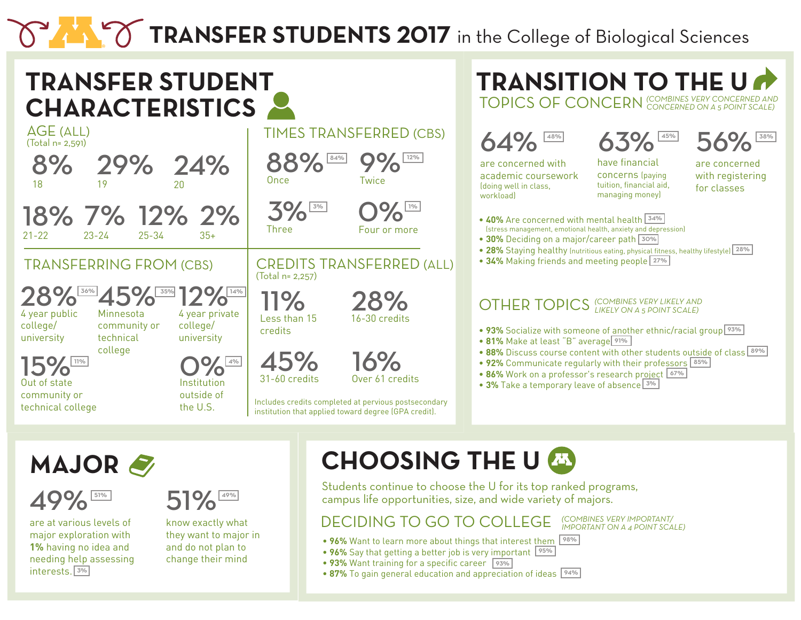# TRANSFER STUDENTS 2017 in the College of Biological Sciences



**MAJOR**



are at various levels of major exploration with **1%** having no idea and needing help assessing interests. 3%



know exactly what they want to major in and do not plan to change their mind

### **CHOOSING THE U**

Students continue to choose the U for its top ranked programs, campus life opportunities, size, and wide variety of majors.

#### DECIDING TO GO TO COLLEGE

- 96% Want to learn more about things that interest them <sup>98%</sup>
- 96% Say that getting a better job is very important <sup>95%</sup>
- 93% Want training for a specific career <sup>93%</sup>
- 87% To gain general education and appreciation of ideas <sup>94%</sup>

*(COMBINES VERY IMPORTANT/ IMPORTANT ON A 4 POINT SCALE)*